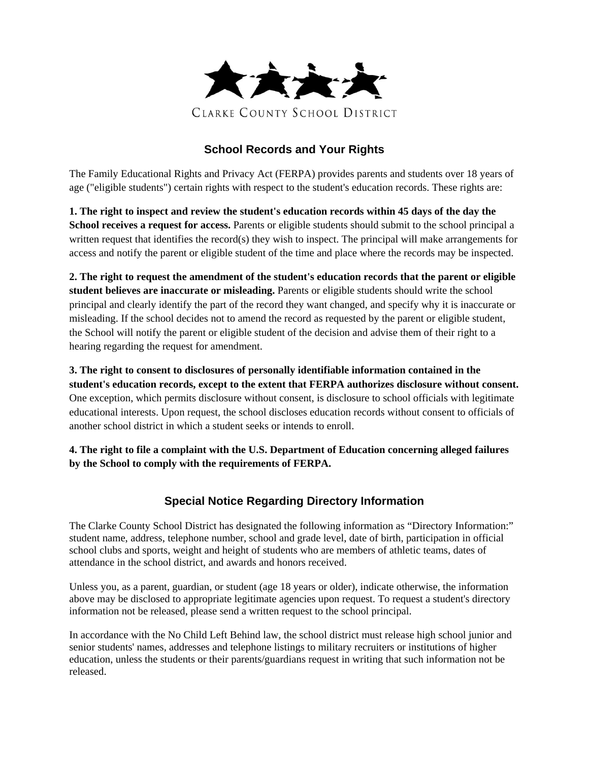

## **School Records and Your Rights**

The Family Educational Rights and Privacy Act (FERPA) provides parents and students over 18 years of age ("eligible students") certain rights with respect to the student's education records. These rights are:

**1. The right to inspect and review the student's education records within 45 days of the day the School receives a request for access.** Parents or eligible students should submit to the school principal a written request that identifies the record(s) they wish to inspect. The principal will make arrangements for access and notify the parent or eligible student of the time and place where the records may be inspected.

**2. The right to request the amendment of the student's education records that the parent or eligible student believes are inaccurate or misleading.** Parents or eligible students should write the school principal and clearly identify the part of the record they want changed, and specify why it is inaccurate or misleading. If the school decides not to amend the record as requested by the parent or eligible student, the School will notify the parent or eligible student of the decision and advise them of their right to a hearing regarding the request for amendment.

**3. The right to consent to disclosures of personally identifiable information contained in the student's education records, except to the extent that FERPA authorizes disclosure without consent.** One exception, which permits disclosure without consent, is disclosure to school officials with legitimate educational interests. Upon request, the school discloses education records without consent to officials of another school district in which a student seeks or intends to enroll.

**4. The right to file a complaint with the U.S. Department of Education concerning alleged failures by the School to comply with the requirements of FERPA.**

## **Special Notice Regarding Directory Information**

The Clarke County School District has designated the following information as "Directory Information:" student name, address, telephone number, school and grade level, date of birth, participation in official school clubs and sports, weight and height of students who are members of athletic teams, dates of attendance in the school district, and awards and honors received.

Unless you, as a parent, guardian, or student (age 18 years or older), indicate otherwise, the information above may be disclosed to appropriate legitimate agencies upon request. To request a student's directory information not be released, please send a written request to the school principal.

In accordance with the No Child Left Behind law, the school district must release high school junior and senior students' names, addresses and telephone listings to military recruiters or institutions of higher education, unless the students or their parents/guardians request in writing that such information not be released.